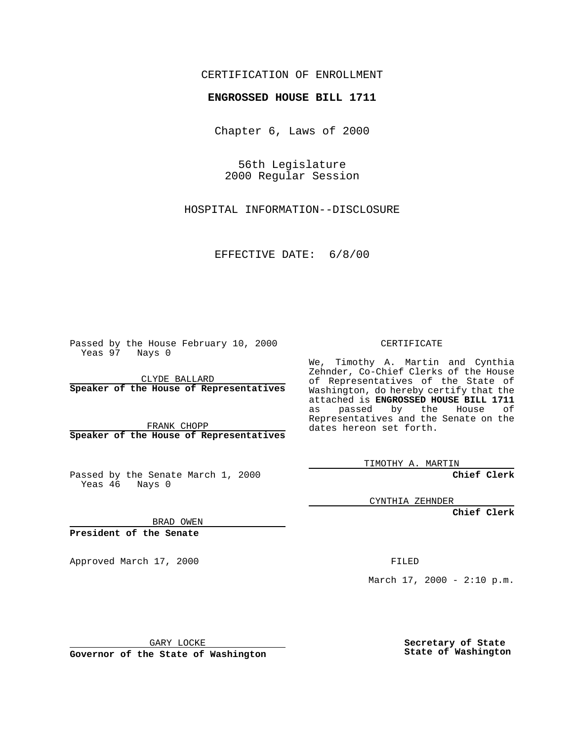## CERTIFICATION OF ENROLLMENT

## **ENGROSSED HOUSE BILL 1711**

Chapter 6, Laws of 2000

56th Legislature 2000 Regular Session

HOSPITAL INFORMATION--DISCLOSURE

EFFECTIVE DATE: 6/8/00

Passed by the House February 10, 2000 Yeas 97 Nays 0

CLYDE BALLARD **Speaker of the House of Representatives**

FRANK CHOPP **Speaker of the House of Representatives**

Passed by the Senate March 1, 2000 Yeas 46 Nays 0

CERTIFICATE

We, Timothy A. Martin and Cynthia Zehnder, Co-Chief Clerks of the House of Representatives of the State of Washington, do hereby certify that the attached is **ENGROSSED HOUSE BILL 1711** as passed by the House of Representatives and the Senate on the dates hereon set forth.

TIMOTHY A. MARTIN

**Chief Clerk**

CYNTHIA ZEHNDER

**Chief Clerk**

BRAD OWEN

**President of the Senate**

Approved March 17, 2000 FILED

March 17, 2000 - 2:10 p.m.

GARY LOCKE

**Governor of the State of Washington**

**Secretary of State State of Washington**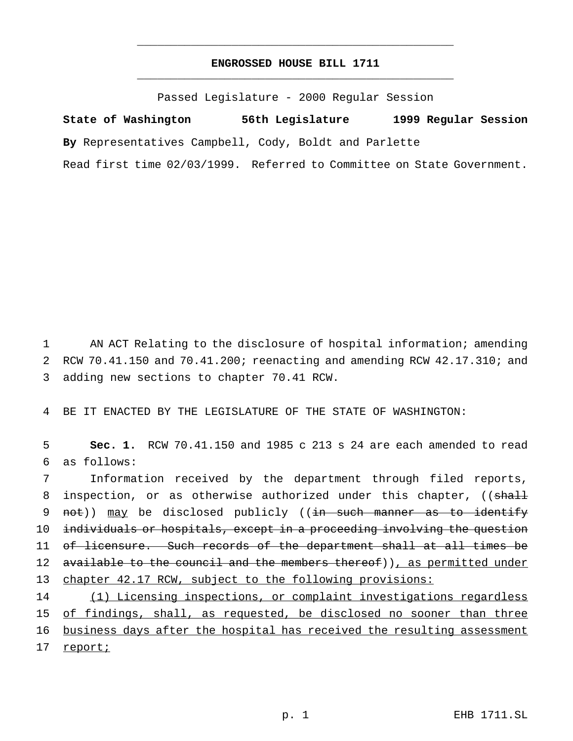## **ENGROSSED HOUSE BILL 1711** \_\_\_\_\_\_\_\_\_\_\_\_\_\_\_\_\_\_\_\_\_\_\_\_\_\_\_\_\_\_\_\_\_\_\_\_\_\_\_\_\_\_\_\_\_\_\_

\_\_\_\_\_\_\_\_\_\_\_\_\_\_\_\_\_\_\_\_\_\_\_\_\_\_\_\_\_\_\_\_\_\_\_\_\_\_\_\_\_\_\_\_\_\_\_

Passed Legislature - 2000 Regular Session

**State of Washington 56th Legislature 1999 Regular Session By** Representatives Campbell, Cody, Boldt and Parlette Read first time 02/03/1999. Referred to Committee on State Government.

1 AN ACT Relating to the disclosure of hospital information; amending 2 RCW 70.41.150 and 70.41.200; reenacting and amending RCW 42.17.310; and 3 adding new sections to chapter 70.41 RCW.

4 BE IT ENACTED BY THE LEGISLATURE OF THE STATE OF WASHINGTON:

5 **Sec. 1.** RCW 70.41.150 and 1985 c 213 s 24 are each amended to read 6 as follows:

7 Information received by the department through filed reports, 8 inspection, or as otherwise authorized under this chapter, ((shall 9 not)) may be disclosed publicly ((in such manner as to identify 10 individuals or hospitals, except in a proceeding involving the question 11 of licensure. Such records of the department shall at all times be 12 available to the council and the members thereof)), as permitted under 13 chapter 42.17 RCW, subject to the following provisions: 14 (1) Licensing inspections, or complaint investigations regardless

15 of findings, shall, as requested, be disclosed no sooner than three 16 business days after the hospital has received the resulting assessment 17 report;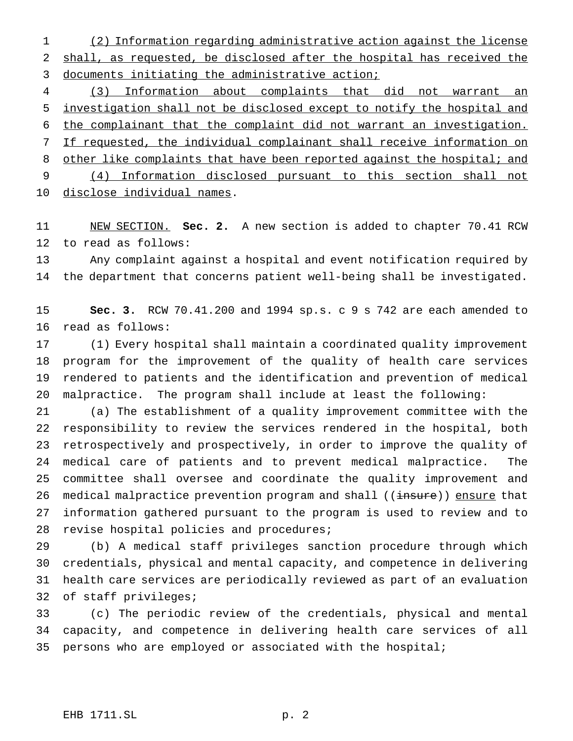(2) Information regarding administrative action against the license shall, as requested, be disclosed after the hospital has received the 3 documents initiating the administrative action;

 (3) Information about complaints that did not warrant an investigation shall not be disclosed except to notify the hospital and the complainant that the complaint did not warrant an investigation. If requested, the individual complainant shall receive information on 8 other like complaints that have been reported against the hospital; and (4) Information disclosed pursuant to this section shall not disclose individual names.

 NEW SECTION. **Sec. 2.** A new section is added to chapter 70.41 RCW to read as follows:

 Any complaint against a hospital and event notification required by the department that concerns patient well-being shall be investigated.

 **Sec. 3.** RCW 70.41.200 and 1994 sp.s. c 9 s 742 are each amended to read as follows:

 (1) Every hospital shall maintain a coordinated quality improvement program for the improvement of the quality of health care services rendered to patients and the identification and prevention of medical malpractice. The program shall include at least the following:

 (a) The establishment of a quality improvement committee with the responsibility to review the services rendered in the hospital, both retrospectively and prospectively, in order to improve the quality of medical care of patients and to prevent medical malpractice. The committee shall oversee and coordinate the quality improvement and 26 medical malpractice prevention program and shall ((insure)) ensure that information gathered pursuant to the program is used to review and to revise hospital policies and procedures;

 (b) A medical staff privileges sanction procedure through which credentials, physical and mental capacity, and competence in delivering health care services are periodically reviewed as part of an evaluation of staff privileges;

 (c) The periodic review of the credentials, physical and mental capacity, and competence in delivering health care services of all 35 persons who are employed or associated with the hospital;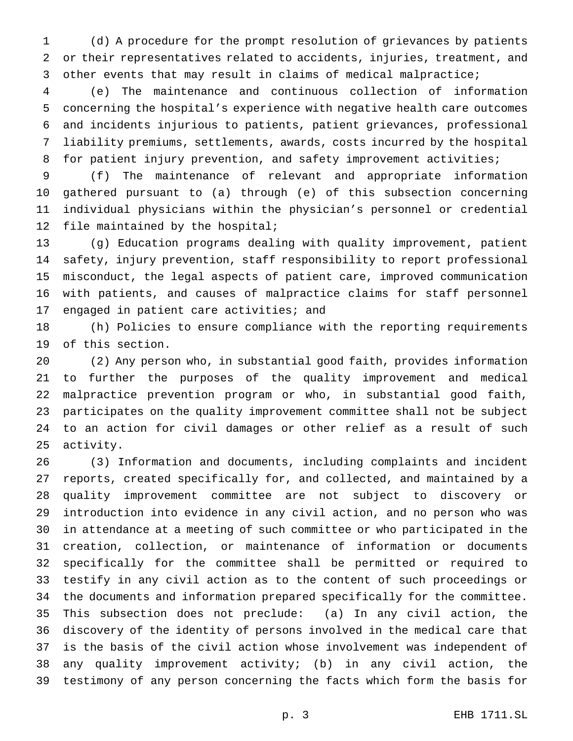(d) A procedure for the prompt resolution of grievances by patients or their representatives related to accidents, injuries, treatment, and other events that may result in claims of medical malpractice;

 (e) The maintenance and continuous collection of information concerning the hospital's experience with negative health care outcomes and incidents injurious to patients, patient grievances, professional liability premiums, settlements, awards, costs incurred by the hospital 8 for patient injury prevention, and safety improvement activities;

 (f) The maintenance of relevant and appropriate information gathered pursuant to (a) through (e) of this subsection concerning individual physicians within the physician's personnel or credential file maintained by the hospital;

 (g) Education programs dealing with quality improvement, patient safety, injury prevention, staff responsibility to report professional misconduct, the legal aspects of patient care, improved communication with patients, and causes of malpractice claims for staff personnel 17 engaged in patient care activities; and

 (h) Policies to ensure compliance with the reporting requirements of this section.

 (2) Any person who, in substantial good faith, provides information to further the purposes of the quality improvement and medical malpractice prevention program or who, in substantial good faith, participates on the quality improvement committee shall not be subject to an action for civil damages or other relief as a result of such activity.

 (3) Information and documents, including complaints and incident reports, created specifically for, and collected, and maintained by a quality improvement committee are not subject to discovery or introduction into evidence in any civil action, and no person who was in attendance at a meeting of such committee or who participated in the creation, collection, or maintenance of information or documents specifically for the committee shall be permitted or required to testify in any civil action as to the content of such proceedings or the documents and information prepared specifically for the committee. This subsection does not preclude: (a) In any civil action, the discovery of the identity of persons involved in the medical care that is the basis of the civil action whose involvement was independent of any quality improvement activity; (b) in any civil action, the testimony of any person concerning the facts which form the basis for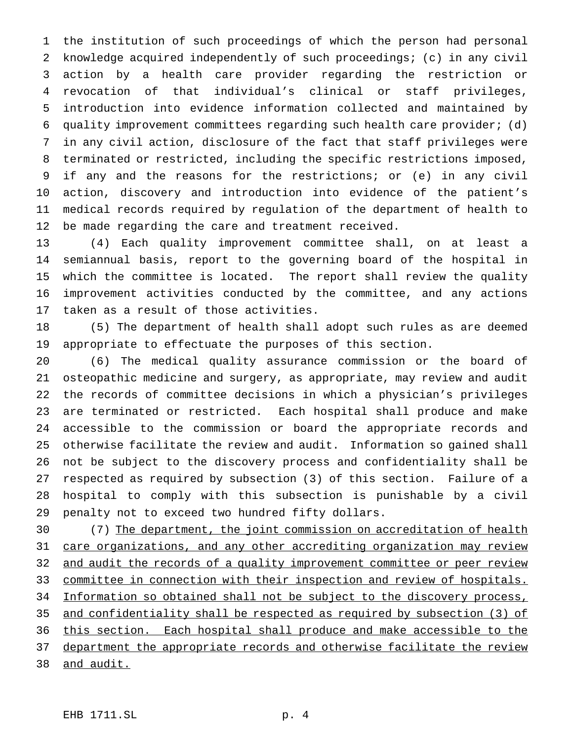the institution of such proceedings of which the person had personal knowledge acquired independently of such proceedings; (c) in any civil action by a health care provider regarding the restriction or revocation of that individual's clinical or staff privileges, introduction into evidence information collected and maintained by quality improvement committees regarding such health care provider; (d) in any civil action, disclosure of the fact that staff privileges were terminated or restricted, including the specific restrictions imposed, if any and the reasons for the restrictions; or (e) in any civil action, discovery and introduction into evidence of the patient's medical records required by regulation of the department of health to be made regarding the care and treatment received.

 (4) Each quality improvement committee shall, on at least a semiannual basis, report to the governing board of the hospital in which the committee is located. The report shall review the quality improvement activities conducted by the committee, and any actions taken as a result of those activities.

 (5) The department of health shall adopt such rules as are deemed appropriate to effectuate the purposes of this section.

 (6) The medical quality assurance commission or the board of osteopathic medicine and surgery, as appropriate, may review and audit the records of committee decisions in which a physician's privileges are terminated or restricted. Each hospital shall produce and make accessible to the commission or board the appropriate records and otherwise facilitate the review and audit. Information so gained shall not be subject to the discovery process and confidentiality shall be respected as required by subsection (3) of this section. Failure of a hospital to comply with this subsection is punishable by a civil penalty not to exceed two hundred fifty dollars.

 (7) The department, the joint commission on accreditation of health care organizations, and any other accrediting organization may review 32 and audit the records of a quality improvement committee or peer review committee in connection with their inspection and review of hospitals. 34 Information so obtained shall not be subject to the discovery process, and confidentiality shall be respected as required by subsection (3) of this section. Each hospital shall produce and make accessible to the 37 department the appropriate records and otherwise facilitate the review and audit.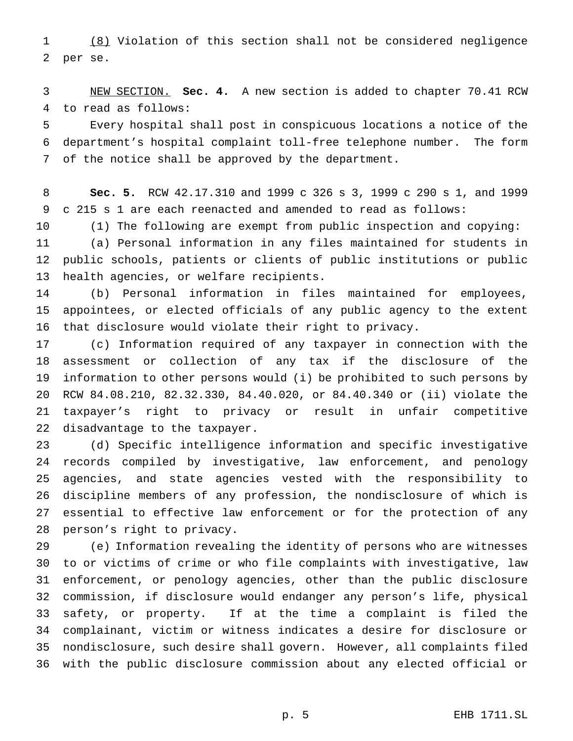(8) Violation of this section shall not be considered negligence per se.

 NEW SECTION. **Sec. 4.** A new section is added to chapter 70.41 RCW to read as follows:

 Every hospital shall post in conspicuous locations a notice of the department's hospital complaint toll-free telephone number. The form of the notice shall be approved by the department.

 **Sec. 5.** RCW 42.17.310 and 1999 c 326 s 3, 1999 c 290 s 1, and 1999 c 215 s 1 are each reenacted and amended to read as follows:

 (1) The following are exempt from public inspection and copying: (a) Personal information in any files maintained for students in public schools, patients or clients of public institutions or public health agencies, or welfare recipients.

 (b) Personal information in files maintained for employees, appointees, or elected officials of any public agency to the extent that disclosure would violate their right to privacy.

 (c) Information required of any taxpayer in connection with the assessment or collection of any tax if the disclosure of the information to other persons would (i) be prohibited to such persons by RCW 84.08.210, 82.32.330, 84.40.020, or 84.40.340 or (ii) violate the taxpayer's right to privacy or result in unfair competitive disadvantage to the taxpayer.

 (d) Specific intelligence information and specific investigative records compiled by investigative, law enforcement, and penology agencies, and state agencies vested with the responsibility to discipline members of any profession, the nondisclosure of which is essential to effective law enforcement or for the protection of any person's right to privacy.

 (e) Information revealing the identity of persons who are witnesses to or victims of crime or who file complaints with investigative, law enforcement, or penology agencies, other than the public disclosure commission, if disclosure would endanger any person's life, physical safety, or property. If at the time a complaint is filed the complainant, victim or witness indicates a desire for disclosure or nondisclosure, such desire shall govern. However, all complaints filed with the public disclosure commission about any elected official or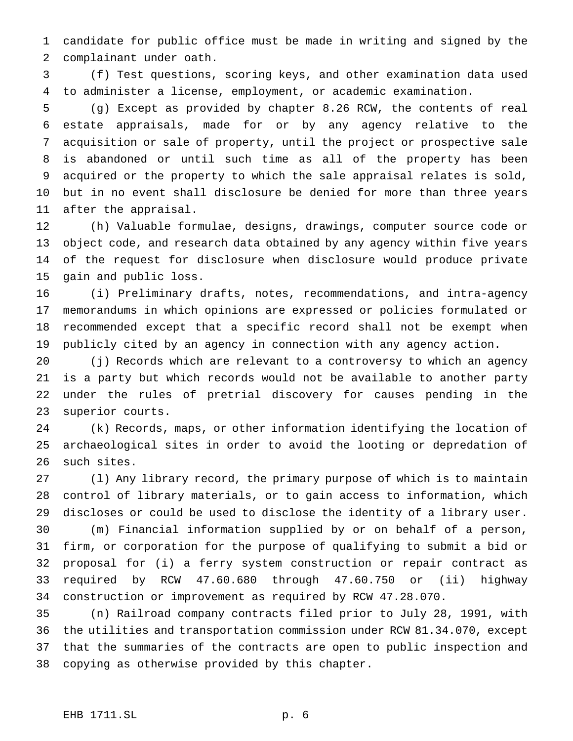candidate for public office must be made in writing and signed by the complainant under oath.

 (f) Test questions, scoring keys, and other examination data used to administer a license, employment, or academic examination.

 (g) Except as provided by chapter 8.26 RCW, the contents of real estate appraisals, made for or by any agency relative to the acquisition or sale of property, until the project or prospective sale is abandoned or until such time as all of the property has been acquired or the property to which the sale appraisal relates is sold, but in no event shall disclosure be denied for more than three years after the appraisal.

 (h) Valuable formulae, designs, drawings, computer source code or object code, and research data obtained by any agency within five years of the request for disclosure when disclosure would produce private gain and public loss.

 (i) Preliminary drafts, notes, recommendations, and intra-agency memorandums in which opinions are expressed or policies formulated or recommended except that a specific record shall not be exempt when publicly cited by an agency in connection with any agency action.

 (j) Records which are relevant to a controversy to which an agency is a party but which records would not be available to another party under the rules of pretrial discovery for causes pending in the superior courts.

 (k) Records, maps, or other information identifying the location of archaeological sites in order to avoid the looting or depredation of such sites.

 (l) Any library record, the primary purpose of which is to maintain control of library materials, or to gain access to information, which discloses or could be used to disclose the identity of a library user. (m) Financial information supplied by or on behalf of a person,

 firm, or corporation for the purpose of qualifying to submit a bid or proposal for (i) a ferry system construction or repair contract as required by RCW 47.60.680 through 47.60.750 or (ii) highway construction or improvement as required by RCW 47.28.070.

 (n) Railroad company contracts filed prior to July 28, 1991, with the utilities and transportation commission under RCW 81.34.070, except that the summaries of the contracts are open to public inspection and copying as otherwise provided by this chapter.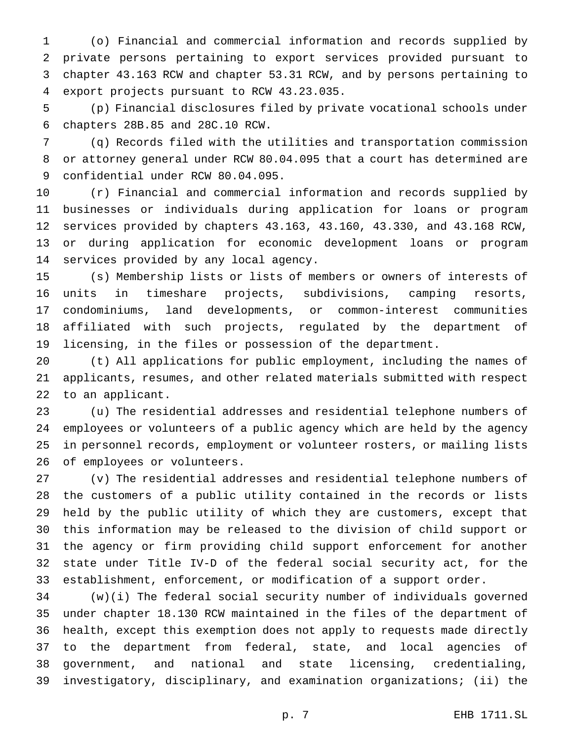(o) Financial and commercial information and records supplied by private persons pertaining to export services provided pursuant to chapter 43.163 RCW and chapter 53.31 RCW, and by persons pertaining to export projects pursuant to RCW 43.23.035.

 (p) Financial disclosures filed by private vocational schools under chapters 28B.85 and 28C.10 RCW.

 (q) Records filed with the utilities and transportation commission or attorney general under RCW 80.04.095 that a court has determined are confidential under RCW 80.04.095.

 (r) Financial and commercial information and records supplied by businesses or individuals during application for loans or program services provided by chapters 43.163, 43.160, 43.330, and 43.168 RCW, or during application for economic development loans or program services provided by any local agency.

 (s) Membership lists or lists of members or owners of interests of units in timeshare projects, subdivisions, camping resorts, condominiums, land developments, or common-interest communities affiliated with such projects, regulated by the department of licensing, in the files or possession of the department.

 (t) All applications for public employment, including the names of applicants, resumes, and other related materials submitted with respect to an applicant.

 (u) The residential addresses and residential telephone numbers of employees or volunteers of a public agency which are held by the agency in personnel records, employment or volunteer rosters, or mailing lists of employees or volunteers.

 (v) The residential addresses and residential telephone numbers of the customers of a public utility contained in the records or lists held by the public utility of which they are customers, except that this information may be released to the division of child support or the agency or firm providing child support enforcement for another state under Title IV-D of the federal social security act, for the establishment, enforcement, or modification of a support order.

 (w)(i) The federal social security number of individuals governed under chapter 18.130 RCW maintained in the files of the department of health, except this exemption does not apply to requests made directly to the department from federal, state, and local agencies of government, and national and state licensing, credentialing, investigatory, disciplinary, and examination organizations; (ii) the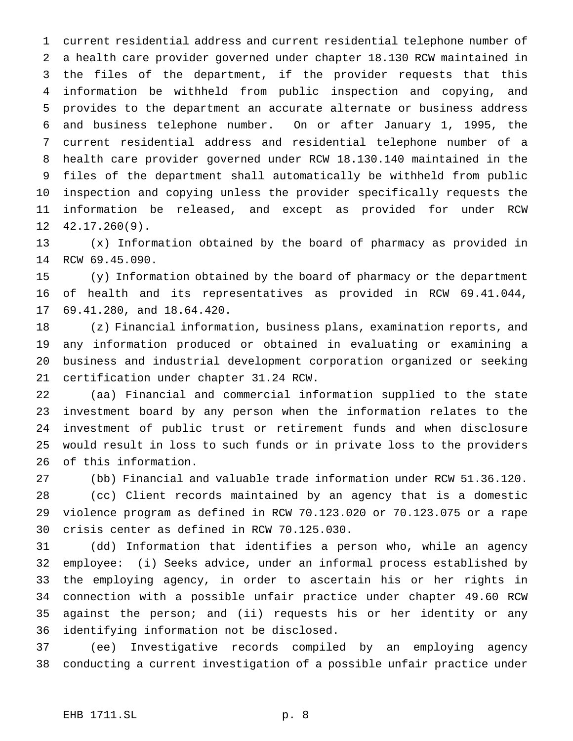current residential address and current residential telephone number of a health care provider governed under chapter 18.130 RCW maintained in the files of the department, if the provider requests that this information be withheld from public inspection and copying, and provides to the department an accurate alternate or business address and business telephone number. On or after January 1, 1995, the current residential address and residential telephone number of a health care provider governed under RCW 18.130.140 maintained in the files of the department shall automatically be withheld from public inspection and copying unless the provider specifically requests the information be released, and except as provided for under RCW 42.17.260(9).

 (x) Information obtained by the board of pharmacy as provided in RCW 69.45.090.

 (y) Information obtained by the board of pharmacy or the department of health and its representatives as provided in RCW 69.41.044, 69.41.280, and 18.64.420.

 (z) Financial information, business plans, examination reports, and any information produced or obtained in evaluating or examining a business and industrial development corporation organized or seeking certification under chapter 31.24 RCW.

 (aa) Financial and commercial information supplied to the state investment board by any person when the information relates to the investment of public trust or retirement funds and when disclosure would result in loss to such funds or in private loss to the providers of this information.

 (bb) Financial and valuable trade information under RCW 51.36.120. (cc) Client records maintained by an agency that is a domestic violence program as defined in RCW 70.123.020 or 70.123.075 or a rape crisis center as defined in RCW 70.125.030.

 (dd) Information that identifies a person who, while an agency employee: (i) Seeks advice, under an informal process established by the employing agency, in order to ascertain his or her rights in connection with a possible unfair practice under chapter 49.60 RCW against the person; and (ii) requests his or her identity or any identifying information not be disclosed.

 (ee) Investigative records compiled by an employing agency conducting a current investigation of a possible unfair practice under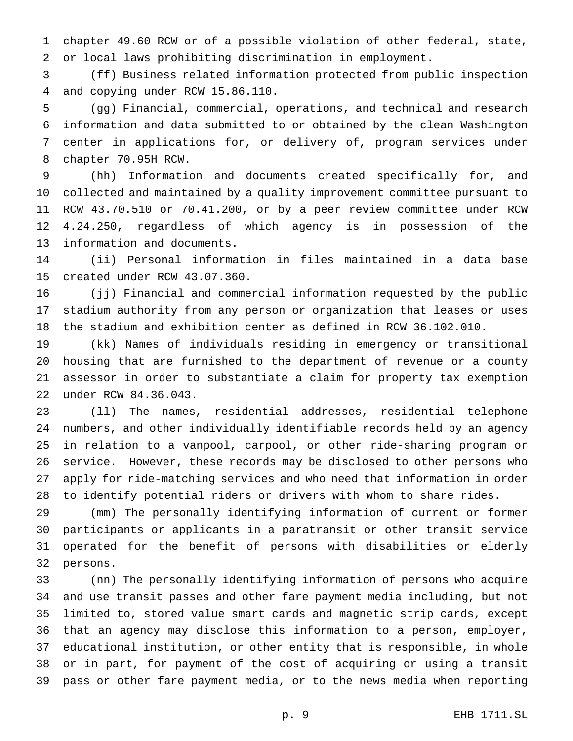chapter 49.60 RCW or of a possible violation of other federal, state, or local laws prohibiting discrimination in employment.

 (ff) Business related information protected from public inspection and copying under RCW 15.86.110.

 (gg) Financial, commercial, operations, and technical and research information and data submitted to or obtained by the clean Washington center in applications for, or delivery of, program services under chapter 70.95H RCW.

 (hh) Information and documents created specifically for, and collected and maintained by a quality improvement committee pursuant to 11 RCW 43.70.510 or 70.41.200, or by a peer review committee under RCW 12 4.24.250, regardless of which agency is in possession of the information and documents.

 (ii) Personal information in files maintained in a data base created under RCW 43.07.360.

 (jj) Financial and commercial information requested by the public stadium authority from any person or organization that leases or uses the stadium and exhibition center as defined in RCW 36.102.010.

 (kk) Names of individuals residing in emergency or transitional housing that are furnished to the department of revenue or a county assessor in order to substantiate a claim for property tax exemption under RCW 84.36.043.

 (ll) The names, residential addresses, residential telephone numbers, and other individually identifiable records held by an agency in relation to a vanpool, carpool, or other ride-sharing program or service. However, these records may be disclosed to other persons who apply for ride-matching services and who need that information in order to identify potential riders or drivers with whom to share rides.

 (mm) The personally identifying information of current or former participants or applicants in a paratransit or other transit service operated for the benefit of persons with disabilities or elderly persons.

 (nn) The personally identifying information of persons who acquire and use transit passes and other fare payment media including, but not limited to, stored value smart cards and magnetic strip cards, except that an agency may disclose this information to a person, employer, educational institution, or other entity that is responsible, in whole or in part, for payment of the cost of acquiring or using a transit pass or other fare payment media, or to the news media when reporting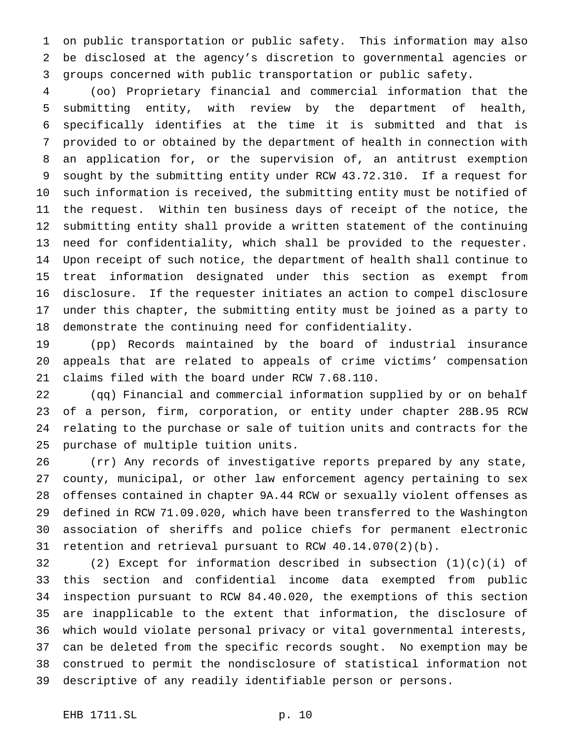on public transportation or public safety. This information may also be disclosed at the agency's discretion to governmental agencies or groups concerned with public transportation or public safety.

 (oo) Proprietary financial and commercial information that the submitting entity, with review by the department of health, specifically identifies at the time it is submitted and that is provided to or obtained by the department of health in connection with an application for, or the supervision of, an antitrust exemption sought by the submitting entity under RCW 43.72.310. If a request for such information is received, the submitting entity must be notified of the request. Within ten business days of receipt of the notice, the submitting entity shall provide a written statement of the continuing need for confidentiality, which shall be provided to the requester. Upon receipt of such notice, the department of health shall continue to treat information designated under this section as exempt from disclosure. If the requester initiates an action to compel disclosure under this chapter, the submitting entity must be joined as a party to demonstrate the continuing need for confidentiality.

 (pp) Records maintained by the board of industrial insurance appeals that are related to appeals of crime victims' compensation claims filed with the board under RCW 7.68.110.

 (qq) Financial and commercial information supplied by or on behalf of a person, firm, corporation, or entity under chapter 28B.95 RCW relating to the purchase or sale of tuition units and contracts for the purchase of multiple tuition units.

 (rr) Any records of investigative reports prepared by any state, county, municipal, or other law enforcement agency pertaining to sex offenses contained in chapter 9A.44 RCW or sexually violent offenses as defined in RCW 71.09.020, which have been transferred to the Washington association of sheriffs and police chiefs for permanent electronic retention and retrieval pursuant to RCW 40.14.070(2)(b).

 (2) Except for information described in subsection (1)(c)(i) of this section and confidential income data exempted from public inspection pursuant to RCW 84.40.020, the exemptions of this section are inapplicable to the extent that information, the disclosure of which would violate personal privacy or vital governmental interests, can be deleted from the specific records sought. No exemption may be construed to permit the nondisclosure of statistical information not descriptive of any readily identifiable person or persons.